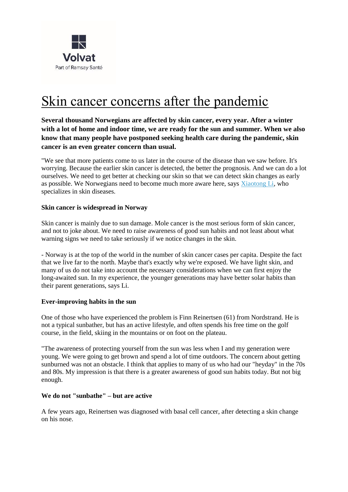

# Skin cancer concerns after the pandemic

**Several thousand Norwegians are affected by skin cancer, every year. After a winter with a lot of home and indoor time, we are ready for the sun and summer. When we also know that many people have postponed seeking health care during the pandemic, skin cancer is an even greater concern than usual.**

"We see that more patients come to us later in the course of the disease than we saw before. It's worrying. Because the earlier skin cancer is detected, the better the prognosis. And we can do a lot ourselves. We need to get better at checking our skin so that we can detect skin changes as early as possible. We Norwegians need to become much more aware here, says [Xiaotong Li,](https://www.volvat.no/behandlere/-li-xiaotong/) who specializes in skin diseases.

# **Skin cancer is widespread in Norway**

Skin cancer is mainly due to sun damage. Mole cancer is the most serious form of skin cancer, and not to joke about. We need to raise awareness of good sun habits and not least about what warning signs we need to take seriously if we notice changes in the skin.

- Norway is at the top of the world in the number of skin cancer cases per capita. Despite the fact that we live far to the north. Maybe that's exactly why we're exposed. We have light skin, and many of us do not take into account the necessary considerations when we can first enjoy the long-awaited sun. In my experience, the younger generations may have better solar habits than their parent generations, says Li.

# **Ever-improving habits in the sun**

One of those who have experienced the problem is Finn Reinertsen (61) from Nordstrand. He is not a typical sunbather, but has an active lifestyle, and often spends his free time on the golf course, in the field, skiing in the mountains or on foot on the plateau.

"The awareness of protecting yourself from the sun was less when I and my generation were young. We were going to get brown and spend a lot of time outdoors. The concern about getting sunburned was not an obstacle. I think that applies to many of us who had our "heyday" in the 70s and 80s. My impression is that there is a greater awareness of good sun habits today. But not big enough.

# **We do not "sunbathe" – but are active**

A few years ago, Reinertsen was diagnosed with basal cell cancer, after detecting a skin change on his nose.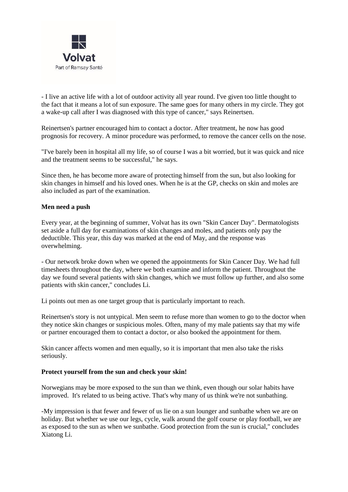

- I live an active life with a lot of outdoor activity all year round. I've given too little thought to the fact that it means a lot of sun exposure. The same goes for many others in my circle. They got a wake-up call after I was diagnosed with this type of cancer," says Reinertsen.

Reinertsen's partner encouraged him to contact a doctor. After treatment, he now has good prognosis for recovery. A minor procedure was performed, to remove the cancer cells on the nose.

"I've barely been in hospital all my life, so of course I was a bit worried, but it was quick and nice and the treatment seems to be successful," he says.

Since then, he has become more aware of protecting himself from the sun, but also looking for skin changes in himself and his loved ones. When he is at the GP, checks on skin and moles are also included as part of the examination.

#### **Men need a push**

Every year, at the beginning of summer, Volvat has its own "Skin Cancer Day". Dermatologists set aside a full day for examinations of skin changes and moles, and patients only pay the deductible. This year, this day was marked at the end of May, and the response was overwhelming.

- Our network broke down when we opened the appointments for Skin Cancer Day. We had full timesheets throughout the day, where we both examine and inform the patient. Throughout the day we found several patients with skin changes, which we must follow up further, and also some patients with skin cancer," concludes Li.

Li points out men as one target group that is particularly important to reach.

Reinertsen's story is not untypical. Men seem to refuse more than women to go to the doctor when they notice skin changes or suspicious moles. Often, many of my male patients say that my wife or partner encouraged them to contact a doctor, or also booked the appointment for them.

Skin cancer affects women and men equally, so it is important that men also take the risks seriously.

#### **Protect yourself from the sun and check your skin!**

Norwegians may be more exposed to the sun than we think, even though our solar habits have improved. It's related to us being active. That's why many of us think we're not sunbathing.

-My impression is that fewer and fewer of us lie on a sun lounger and sunbathe when we are on holiday. But whether we use our legs, cycle, walk around the golf course or play football, we are as exposed to the sun as when we sunbathe. Good protection from the sun is crucial," concludes Xiatong Li.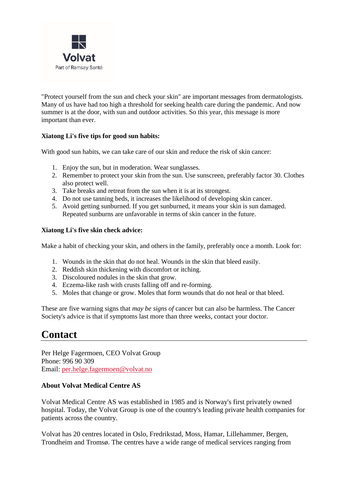

"Protect yourself from the sun and check your skin" are important messages from dermatologists. Many of us have had too high a threshold for seeking health care during the pandemic. And now summer is at the door, with sun and outdoor activities. So this year, this message is more important than ever.

# **Xiatong Li's five tips for good sun habits:**

With good sun habits, we can take care of our skin and reduce the risk of skin cancer:

- 1. Enjoy the sun, but in moderation. Wear sunglasses.
- 2. Remember to protect your skin from the sun. Use sunscreen, preferably factor 30. Clothes also protect well.
- 3. Take breaks and retreat from the sun when it is at its strongest.
- 4. Do not use tanning beds, it increases the likelihood of developing skin cancer.
- 5. Avoid getting sunburned. If you get sunburned, it means your skin is sun damaged. Repeated sunburns are unfavorable in terms of skin cancer in the future.

# **Xiatong Li's five skin check advice:**

Make a habit of checking your skin, and others in the family, preferably once a month. Look for:

- 1. Wounds in the skin that do not heal. Wounds in the skin that bleed easily.
- 2. Reddish skin thickening with discomfort or itching.
- 3. Discoloured nodules in the skin that grow.
- 4. Eczema-like rash with crusts falling off and re-forming.
- 5. Moles that change or grow. Moles that form wounds that do not heal or that bleed.

These are five warning signs that *may be signs of* cancer but can also be harmless. The Cancer Society's advice is that if symptoms last more than three weeks, contact your doctor.

# **Contact**

Per Helge Fagermoen, CEO Volvat Group Phone: 996 90 309 Email: [per.helge.fagermoen@volvat.no](mailto:per.helge.fagermoen@volvat.no)

# **About Volvat Medical Centre AS**

Volvat Medical Centre AS was established in 1985 and is Norway's first privately owned hospital. Today, the Volvat Group is one of the country's leading private health companies for patients across the country.

Volvat has 20 centres located in Oslo, Fredrikstad, Moss, Hamar, Lillehammer, Bergen, Trondheim and Tromsø. The centres have a wide range of medical services ranging from